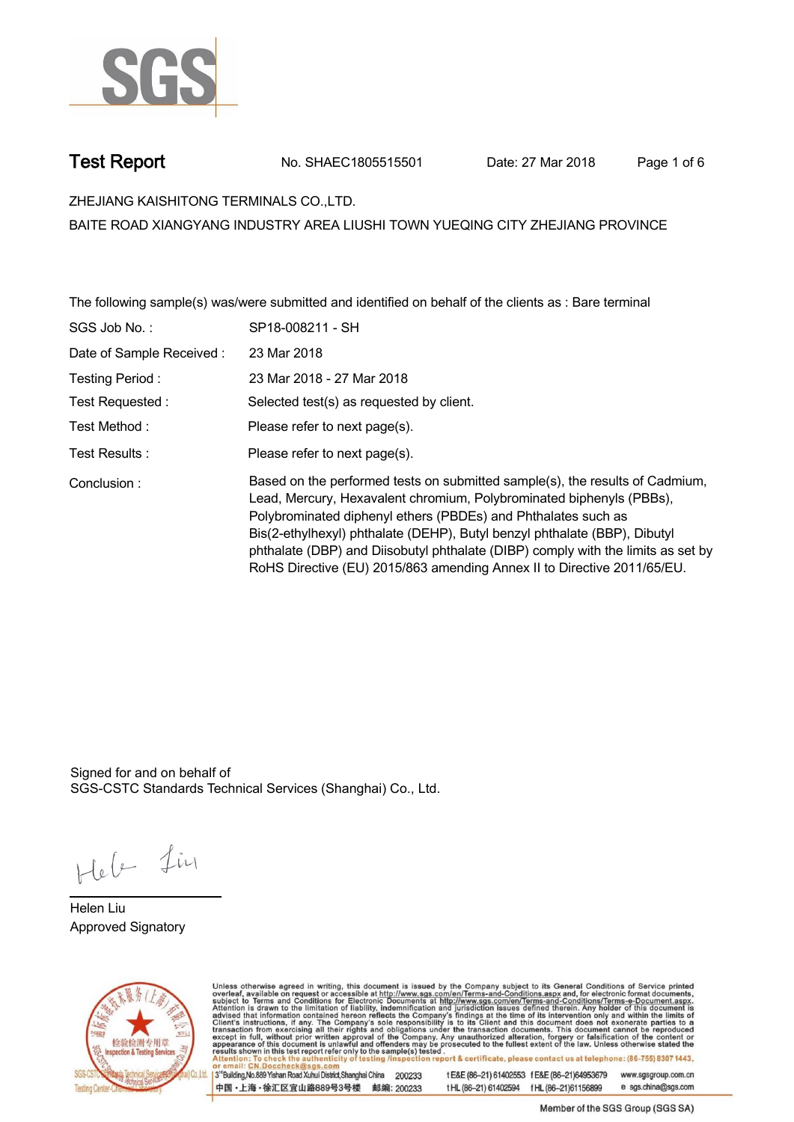

**Test Report. No. SHAEC1805515501 Date: 27 Mar 2018 . Page 1 of 6.**

**ZHEJIANG KAISHITONG TERMINALS CO.,LTD. .**

**BAITE ROAD XIANGYANG INDUSTRY AREA LIUSHI TOWN YUEQING CITY ZHEJIANG PROVINCE**

**The following sample(s) was/were submitted and identified on behalf of the clients as : Bare terminal .**

| SGS Job No.:             | SP18-008211 - SH                                                                                                                                                                                                                                                                                                                                                                                                                                                  |
|--------------------------|-------------------------------------------------------------------------------------------------------------------------------------------------------------------------------------------------------------------------------------------------------------------------------------------------------------------------------------------------------------------------------------------------------------------------------------------------------------------|
| Date of Sample Received: | 23 Mar 2018                                                                                                                                                                                                                                                                                                                                                                                                                                                       |
| Testing Period:          | 23 Mar 2018 - 27 Mar 2018                                                                                                                                                                                                                                                                                                                                                                                                                                         |
| Test Requested :         | Selected test(s) as requested by client.                                                                                                                                                                                                                                                                                                                                                                                                                          |
| Test Method :            | Please refer to next page(s).                                                                                                                                                                                                                                                                                                                                                                                                                                     |
| Test Results:            | Please refer to next page(s).                                                                                                                                                                                                                                                                                                                                                                                                                                     |
| Conclusion:              | Based on the performed tests on submitted sample(s), the results of Cadmium,<br>Lead, Mercury, Hexavalent chromium, Polybrominated biphenyls (PBBs),<br>Polybrominated diphenyl ethers (PBDEs) and Phthalates such as<br>Bis(2-ethylhexyl) phthalate (DEHP), Butyl benzyl phthalate (BBP), Dibutyl<br>phthalate (DBP) and Diisobutyl phthalate (DIBP) comply with the limits as set by<br>RoHS Directive (EU) 2015/863 amending Annex II to Directive 2011/65/EU. |

Signed for and on behalf of SGS-CSTC Standards Technical Services (Shanghai) Co., Ltd..

Heb Lin

**Helen Liu. Approved Signatory .**



Unless otherwise agreed in writing, this document is issued by the Company subject to its General Conditions of Service printed overleaf, available on request or accessible at http://www.sgs.com/en/Terms-and-Conditions.asp

3<sup>rd</sup>Building, No.889 Yishan Road Xuhui District, Shanghai China 200233 中国·上海·徐汇区宜山路889号3号楼 邮编: 200233

tE&E (86-21) 61402553 fE&E (86-21)64953679 www.sgsgroup.com.cn t HL (86-21) 61402594 f HL (86-21) 61156899 e sgs.china@sgs.com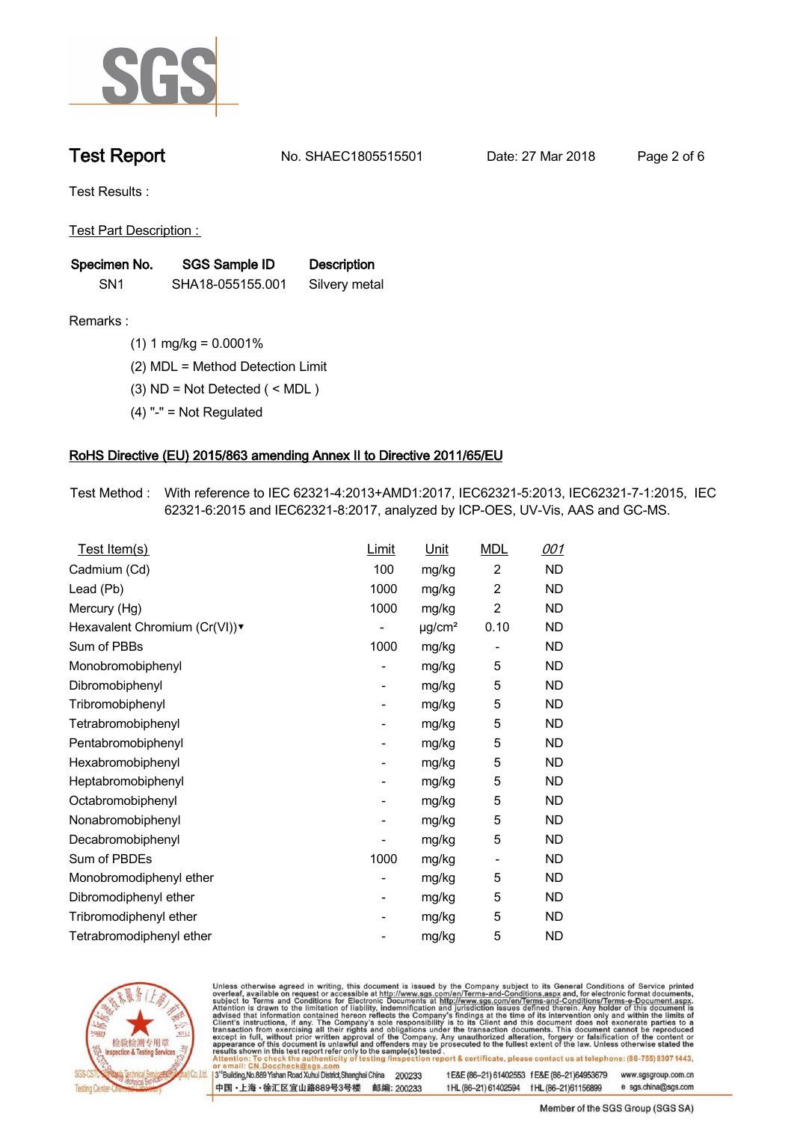

**Test Report. No. SHAEC1805515501 Date: 27 Mar 2018 . Page 2 of 6.**

**Test Results :.**

**Test Part Description : .**

| Specimen No.    | SGS Sample ID    | <b>Description</b> |  |
|-----------------|------------------|--------------------|--|
| SN <sub>1</sub> | SHA18-055155.001 | Silvery metal      |  |

- **Remarks :.(1) 1 mg/kg = 0.0001% .**
	- **(2) MDL = Method Detection Limit .**
	- **(3) ND = Not Detected ( < MDL ) .**
	- **(4) "-" = Not Regulated .**

## **RoHS Directive (EU) 2015/863 amending Annex II to Directive 2011/65/EU.**

**Test Method :. With reference to IEC 62321-4:2013+AMD1:2017, IEC62321-5:2013, IEC62321-7-1:2015, IEC 62321-6:2015 and IEC62321-8:2017, analyzed by ICP-OES, UV-Vis, AAS and GC-MS. .**

| <u>Test Item(s)</u>           | Limit                    | <u>Unit</u>             | <b>MDL</b>               | 001       |
|-------------------------------|--------------------------|-------------------------|--------------------------|-----------|
| Cadmium (Cd)                  | 100                      | mg/kg                   | $\overline{c}$           | ND        |
| Lead (Pb)                     | 1000                     | mg/kg                   | $\overline{c}$           | <b>ND</b> |
| Mercury (Hg)                  | 1000                     | mg/kg                   | 2                        | ND        |
| Hexavalent Chromium (Cr(VI))v |                          | $\mu$ g/cm <sup>2</sup> | 0.10                     | ND        |
| Sum of PBBs                   | 1000                     | mg/kg                   |                          | ND        |
| Monobromobiphenyl             | -                        | mg/kg                   | 5                        | ND        |
| Dibromobiphenyl               | $\overline{\phantom{0}}$ | mg/kg                   | 5                        | <b>ND</b> |
| Tribromobiphenyl              | $\overline{\phantom{0}}$ | mg/kg                   | 5                        | <b>ND</b> |
| Tetrabromobiphenyl            | -                        | mg/kg                   | 5                        | ND        |
| Pentabromobiphenyl            | $\overline{\phantom{0}}$ | mg/kg                   | 5                        | ND        |
| Hexabromobiphenyl             | -                        | mg/kg                   | 5                        | ND        |
| Heptabromobiphenyl            | $\overline{\phantom{a}}$ | mg/kg                   | 5                        | <b>ND</b> |
| Octabromobiphenyl             | -                        | mg/kg                   | 5                        | <b>ND</b> |
| Nonabromobiphenyl             | -                        | mg/kg                   | 5                        | ND        |
| Decabromobiphenyl             | $\overline{a}$           | mg/kg                   | 5                        | <b>ND</b> |
| Sum of PBDEs                  | 1000                     | mg/kg                   | $\overline{\phantom{a}}$ | ND        |
| Monobromodiphenyl ether       | -                        | mg/kg                   | 5                        | ND        |
| Dibromodiphenyl ether         | ۰                        | mg/kg                   | 5                        | <b>ND</b> |
| Tribromodiphenyl ether        | -                        | mg/kg                   | 5                        | ND        |
| Tetrabromodiphenyl ether      |                          | mg/kg                   | 5                        | <b>ND</b> |



Unless otherwise agreed in writing, this document is issued by the Company subject to its General Conditions of Service printed overleaf, available on request or accessible at http://www.sgs.com/en/Terms-and-Conditions.asp

3<sup>rd</sup>Building, No.889 Yishan Road Xuhui District, Shanghai China 200233 中国·上海·徐汇区宜山路889号3号楼 邮编: 200233 t E&E (86-21) 61402553 f E&E (86-21)64953679 www.sgsgroup.com.cn

t HL (86-21) 61402594 f HL (86-21) 61156899 e sgs.china@sgs.com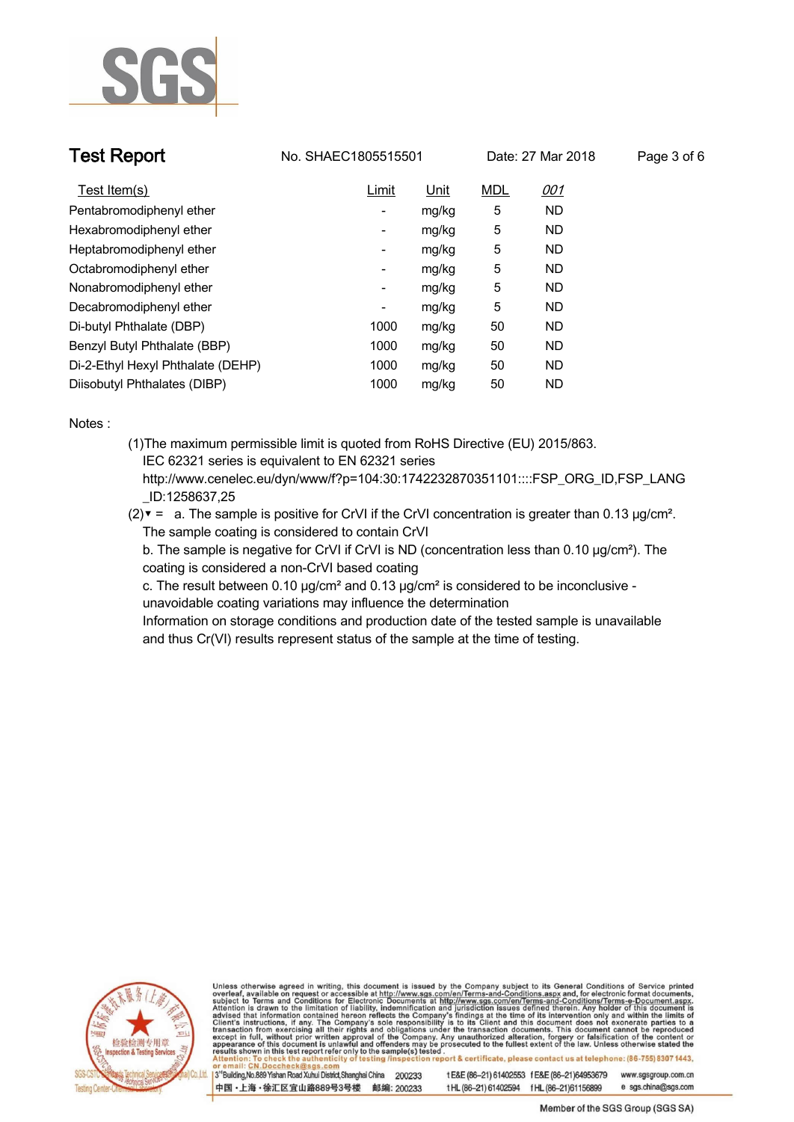

**Test Report No. SHAEC1805515501** Date: 27 Mar 2018 **P** 

| <sup>2</sup> age 3 of 6 |  |  |
|-------------------------|--|--|

| Test Item(s)                      | Limit          | Unit  | <b>MDL</b> | <u>001</u> |
|-----------------------------------|----------------|-------|------------|------------|
| Pentabromodiphenyl ether          | ٠              | mg/kg | 5          | <b>ND</b>  |
| Hexabromodiphenyl ether           | $\overline{a}$ | mg/kg | 5          | <b>ND</b>  |
| Heptabromodiphenyl ether          | ۰              | mg/kg | 5          | <b>ND</b>  |
| Octabromodiphenyl ether           | ۰              | mg/kg | 5          | <b>ND</b>  |
| Nonabromodiphenyl ether           | ٠              | mg/kg | 5          | <b>ND</b>  |
| Decabromodiphenyl ether           | ۰              | mg/kg | 5          | <b>ND</b>  |
| Di-butyl Phthalate (DBP)          | 1000           | mg/kg | 50         | <b>ND</b>  |
| Benzyl Butyl Phthalate (BBP)      | 1000           | mg/kg | 50         | <b>ND</b>  |
| Di-2-Ethyl Hexyl Phthalate (DEHP) | 1000           | mg/kg | 50         | <b>ND</b>  |
| Diisobutyl Phthalates (DIBP)      | 1000           | mg/kg | 50         | <b>ND</b>  |

**Notes :.**

- **(1)The maximum permissible limit is quoted from RoHS Directive (EU) 2015/863. IEC 62321 series is equivalent to EN 62321 series http://www.cenelec.eu/dyn/www/f?p=104:30:1742232870351101::::FSP\_ORG\_ID,FSP\_LANG**
	- **\_ID:1258637,25**
- **(2)▼ = a. The sample is positive for CrVI if the CrVI concentration is greater than 0.13 μg/cm². The sample coating is considered to contain CrVI**

 **b. The sample is negative for CrVI if CrVI is ND (concentration less than 0.10 μg/cm²). The coating is considered a non-CrVI based coating**

 **c. The result between 0.10 μg/cm² and 0.13 μg/cm² is considered to be inconclusive - unavoidable coating variations may influence the determination** 

 **Information on storage conditions and production date of the tested sample is unavailable and thus Cr(VI) results represent status of the sample at the time of testing. .**



Unless otherwise agreed in writing, this document is issued by the Company subject to its General Conditions of Service printed overleaf, available on request or accessible at http://www.sgs.com/en/Terms-and-Conditions.asp ion report & certificate, please contact us at telephone: (86-755) 8307 1443, testing /ins

13<sup>rd</sup> Building, No.889 Yishan Road Xuhui District, Shanghai China 200233 中国·上海·徐汇区宜山路889号3号楼 邮编: 200233 t E&E (86-21) 61402553 f E&E (86-21)64953679 www.sgsgroup.com.cn tHL (86-21) 61402594 fHL (86-21)61156899 e sgs.china@sgs.com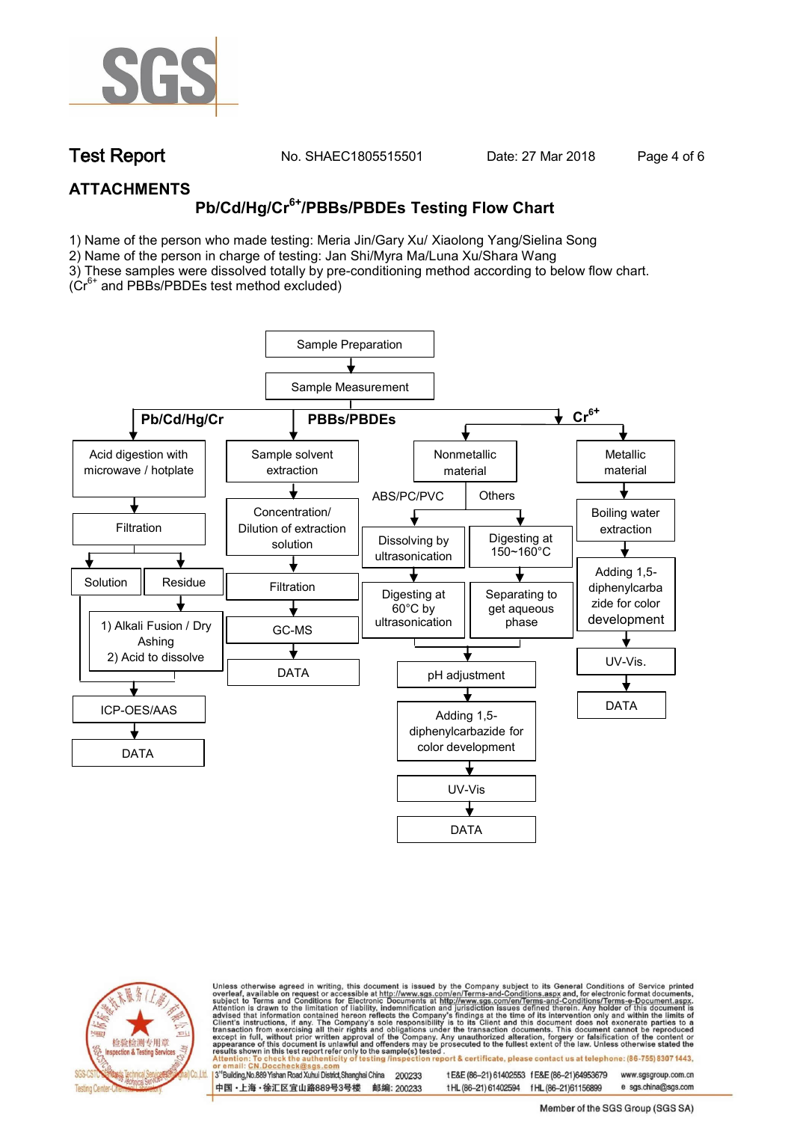

**Test Report. No. SHAEC1805515501 Date: 27 Mar 2018 . Page 4 of 6.**

## **ATTACHMENTS**

# **Pb/Cd/Hg/Cr6+/PBBs/PBDEs Testing Flow Chart**

1) Name of the person who made testing: Meria Jin/Gary Xu/ Xiaolong Yang/Sielina Song

2) Name of the person in charge of testing: Jan Shi/Myra Ma/Luna Xu/Shara Wang

3) These samples were dissolved totally by pre-conditioning method according to below flow chart. ( $Cr<sup>6+</sup>$  and PBBs/PBDEs test method excluded)

Sample Preparation Sample Measurement Pb/Cd/Hg/Cr **PBBs/PBDEs** → Cr<sup>6+</sup> Nonmetallic Acid digestion with Sample solvent Metallic microwave / hotplate extraction material material ABS/PC/PVC | Others Concentration/ Boiling water Filtration Dilution of extraction extraction Digesting at Dissolving by solution 150~160°C ultrasonication Adding 1,5- Solution Residue Filtration diphenylcarba Digesting at Separating to zide for color  $\ddagger$ 60°C by get aqueous development ultrasonication phase1) Alkali Fusion / Dry GC-MS Ashing 2) Acid to dissolve UV-Vis. DATA pH adjustment DATA ICP-OES/AAS Adding 1,5 diphenylcarbazide for color development DATA UV-Vis DATA



Unless otherwise agreed in writing, this document is issued by the Company subject to its General Conditions of Service printed overleaf, available on request or accessible at http://www.sgs.com/en/Terms-and-Conditions.asp ion report & certificate, please contact us at telephone: (86-755) 8307 1443, esting/ins

13<sup>rd</sup> Building, No.889 Yishan Road Xuhui District, Shanghai China 200233 中国·上海·徐汇区宜山路889号3号楼 邮编: 200233 t E&E (86-21) 61402553 f E&E (86-21)64953679 www.sgsgroup.com.cn

t HL (86-21) 61402594 f HL (86-21)61156899 e sgs.china@sgs.com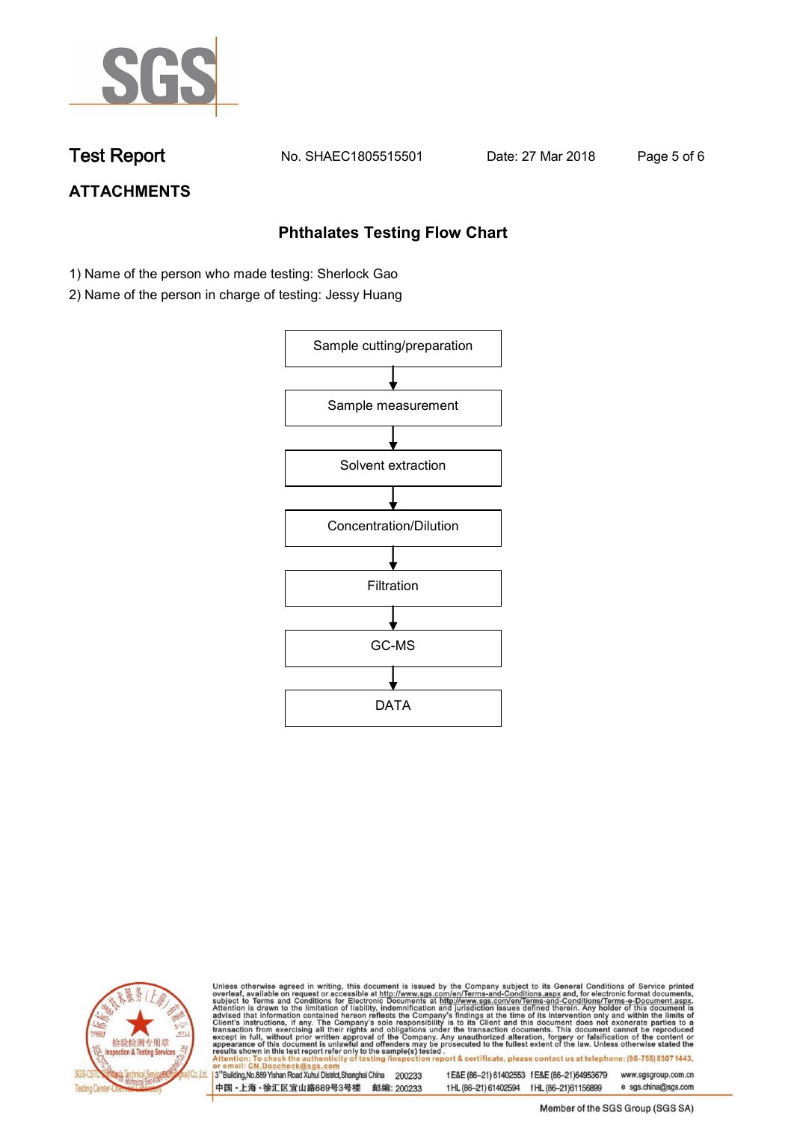

**Test Report. No. SHAEC1805515501 Date: 27 Mar 2018 . Page 5 of 6.**

## **ATTACHMENTS**

## **Phthalates Testing Flow Chart**

- 1) Name of the person who made testing: Sherlock Gao
- 2) Name of the person in charge of testing: Jessy Huang





Unless otherwise agreed in writing, this document is issued by the Company subject to its General Conditions of Service printed overleaf, available on request or accessible at http://www.sgs.com/en/Terms-and-Conditions.asp

3<sup>rd</sup>Building, No.889 Yishan Road Xuhui District, Shanghai China 200233 中国·上海·徐汇区宜山路889号3号楼 邮编: 200233 t E&E (86-21) 61402553 f E&E (86-21)64953679 www.sgsgroup.com.cn t HL (86-21) 61402594 f HL (86-21) 61156899 e sgs.china@sgs.com